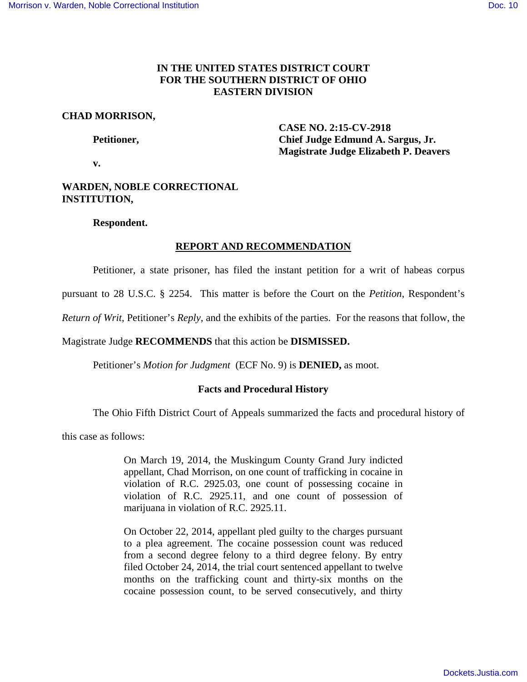## **IN THE UNITED STATES DISTRICT COURT FOR THE SOUTHERN DISTRICT OF OHIO EASTERN DIVISION**

## **CHAD MORRISON,**

 **CASE NO. 2:15-CV-2918 Petitioner, Chief Judge Edmund A. Sargus, Jr. Magistrate Judge Elizabeth P. Deavers** 

 **v.** 

# **WARDEN, NOBLE CORRECTIONAL INSTITUTION,**

## **Respondent.**

# **REPORT AND RECOMMENDATION**

Petitioner, a state prisoner, has filed the instant petition for a writ of habeas corpus

pursuant to 28 U.S.C. § 2254. This matter is before the Court on the *Petition*, Respondent's

*Return of Writ*, Petitioner's *Reply,* and the exhibits of the parties. For the reasons that follow, the

# Magistrate Judge **RECOMMENDS** that this action be **DISMISSED.**

Petitioner's *Motion for Judgment* (ECF No. 9) is **DENIED,** as moot.

# **Facts and Procedural History**

The Ohio Fifth District Court of Appeals summarized the facts and procedural history of

this case as follows:

On March 19, 2014, the Muskingum County Grand Jury indicted appellant, Chad Morrison, on one count of trafficking in cocaine in violation of R.C. 2925.03, one count of possessing cocaine in violation of R.C. 2925.11, and one count of possession of marijuana in violation of R.C. 2925.11.

On October 22, 2014, appellant pled guilty to the charges pursuant to a plea agreement. The cocaine possession count was reduced from a second degree felony to a third degree felony. By entry filed October 24, 2014, the trial court sentenced appellant to twelve months on the trafficking count and thirty-six months on the cocaine possession count, to be served consecutively, and thirty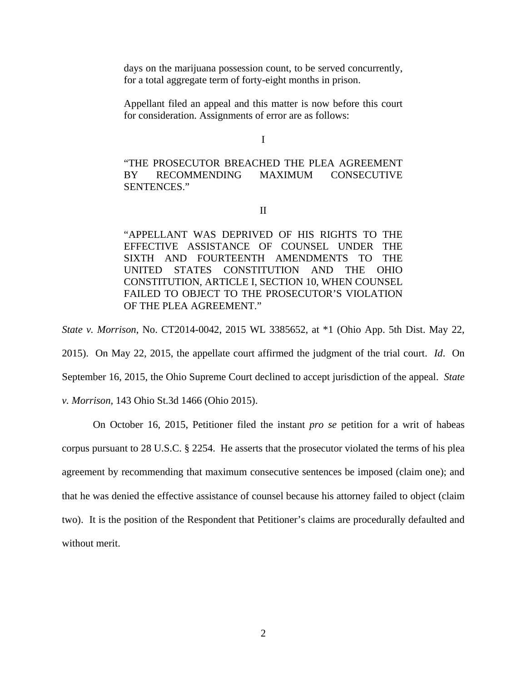days on the marijuana possession count, to be served concurrently, for a total aggregate term of forty-eight months in prison.

Appellant filed an appeal and this matter is now before this court for consideration. Assignments of error are as follows:

I

"THE PROSECUTOR BREACHED THE PLEA AGREEMENT BY RECOMMENDING MAXIMUM CONSECUTIVE SENTENCES."

II

"APPELLANT WAS DEPRIVED OF HIS RIGHTS TO THE EFFECTIVE ASSISTANCE OF COUNSEL UNDER THE SIXTH AND FOURTEENTH AMENDMENTS TO THE UNITED STATES CONSTITUTION AND THE OHIO CONSTITUTION, ARTICLE I, SECTION 10, WHEN COUNSEL FAILED TO OBJECT TO THE PROSECUTOR'S VIOLATION OF THE PLEA AGREEMENT."

*State v. Morrison*, No. CT2014-0042, 2015 WL 3385652, at \*1 (Ohio App. 5th Dist. May 22,

2015). On May 22, 2015, the appellate court affirmed the judgment of the trial court. *Id*. On September 16, 2015, the Ohio Supreme Court declined to accept jurisdiction of the appeal. *State v. Morrison,* 143 Ohio St.3d 1466 (Ohio 2015).

 On October 16, 2015, Petitioner filed the instant *pro se* petition for a writ of habeas corpus pursuant to 28 U.S.C. § 2254. He asserts that the prosecutor violated the terms of his plea agreement by recommending that maximum consecutive sentences be imposed (claim one); and that he was denied the effective assistance of counsel because his attorney failed to object (claim two). It is the position of the Respondent that Petitioner's claims are procedurally defaulted and without merit.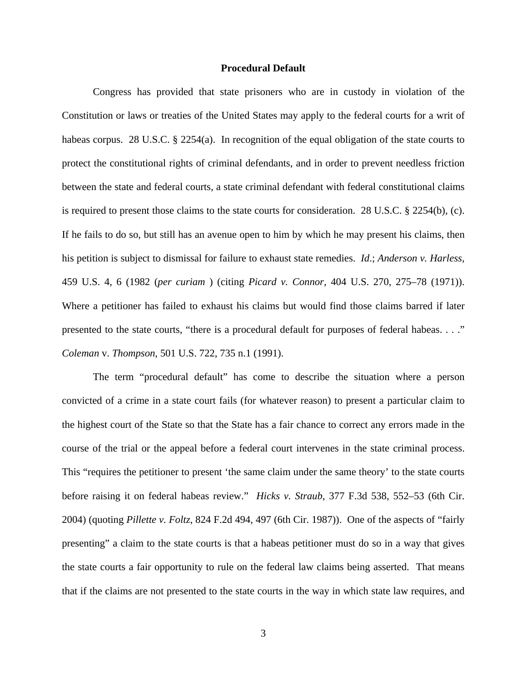### **Procedural Default**

Congress has provided that state prisoners who are in custody in violation of the Constitution or laws or treaties of the United States may apply to the federal courts for a writ of habeas corpus. 28 U.S.C. § 2254(a). In recognition of the equal obligation of the state courts to protect the constitutional rights of criminal defendants, and in order to prevent needless friction between the state and federal courts, a state criminal defendant with federal constitutional claims is required to present those claims to the state courts for consideration. 28 U.S.C. § 2254(b), (c). If he fails to do so, but still has an avenue open to him by which he may present his claims, then his petition is subject to dismissal for failure to exhaust state remedies. *Id*.; *Anderson v. Harless*, 459 U.S. 4, 6 (1982 (*per curiam* ) (citing *Picard v. Connor*, 404 U.S. 270, 275–78 (1971)). Where a petitioner has failed to exhaust his claims but would find those claims barred if later presented to the state courts, "there is a procedural default for purposes of federal habeas. . . ." *Coleman* v. *Thompson*, 501 U.S. 722, 735 n.1 (1991).

The term "procedural default" has come to describe the situation where a person convicted of a crime in a state court fails (for whatever reason) to present a particular claim to the highest court of the State so that the State has a fair chance to correct any errors made in the course of the trial or the appeal before a federal court intervenes in the state criminal process. This "requires the petitioner to present 'the same claim under the same theory' to the state courts before raising it on federal habeas review." *Hicks v. Straub*, 377 F.3d 538, 552–53 (6th Cir. 2004) (quoting *Pillette v. Foltz*, 824 F.2d 494, 497 (6th Cir. 1987)). One of the aspects of "fairly presenting" a claim to the state courts is that a habeas petitioner must do so in a way that gives the state courts a fair opportunity to rule on the federal law claims being asserted. That means that if the claims are not presented to the state courts in the way in which state law requires, and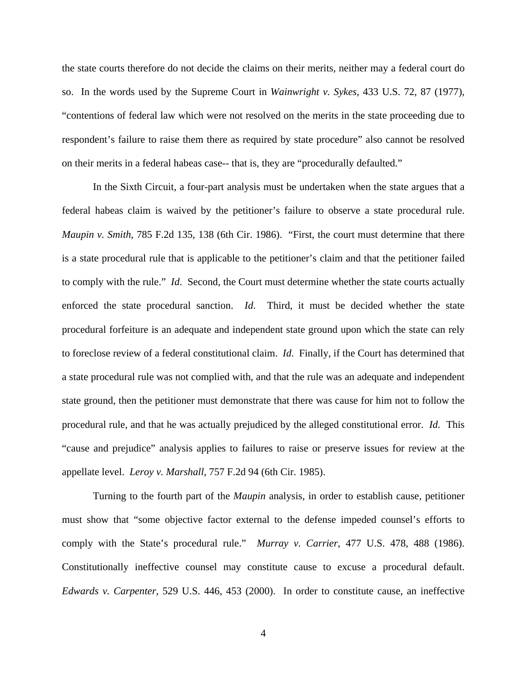the state courts therefore do not decide the claims on their merits, neither may a federal court do so. In the words used by the Supreme Court in *Wainwright v. Sykes*, 433 U.S. 72, 87 (1977), "contentions of federal law which were not resolved on the merits in the state proceeding due to respondent's failure to raise them there as required by state procedure" also cannot be resolved on their merits in a federal habeas case-- that is, they are "procedurally defaulted."

In the Sixth Circuit, a four-part analysis must be undertaken when the state argues that a federal habeas claim is waived by the petitioner's failure to observe a state procedural rule. *Maupin v. Smith*, 785 F.2d 135, 138 (6th Cir. 1986). "First, the court must determine that there is a state procedural rule that is applicable to the petitioner's claim and that the petitioner failed to comply with the rule." *Id*. Second, the Court must determine whether the state courts actually enforced the state procedural sanction. *Id*. Third, it must be decided whether the state procedural forfeiture is an adequate and independent state ground upon which the state can rely to foreclose review of a federal constitutional claim. *Id*. Finally, if the Court has determined that a state procedural rule was not complied with, and that the rule was an adequate and independent state ground, then the petitioner must demonstrate that there was cause for him not to follow the procedural rule, and that he was actually prejudiced by the alleged constitutional error. *Id.* This "cause and prejudice" analysis applies to failures to raise or preserve issues for review at the appellate level. *Leroy v. Marshall*, 757 F.2d 94 (6th Cir. 1985).

Turning to the fourth part of the *Maupin* analysis, in order to establish cause, petitioner must show that "some objective factor external to the defense impeded counsel's efforts to comply with the State's procedural rule." *Murray v. Carrier*, 477 U.S. 478, 488 (1986). Constitutionally ineffective counsel may constitute cause to excuse a procedural default. *Edwards v. Carpenter*, 529 U.S. 446, 453 (2000). In order to constitute cause, an ineffective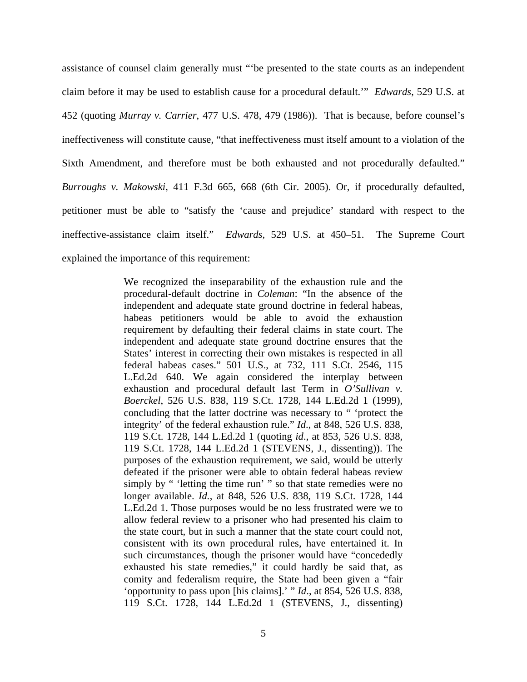assistance of counsel claim generally must "'be presented to the state courts as an independent claim before it may be used to establish cause for a procedural default.'" *Edwards*, 529 U.S. at 452 (quoting *Murray v. Carrier*, 477 U.S. 478, 479 (1986)). That is because, before counsel's ineffectiveness will constitute cause, "that ineffectiveness must itself amount to a violation of the Sixth Amendment, and therefore must be both exhausted and not procedurally defaulted." *Burroughs v. Makowski*, 411 F.3d 665, 668 (6th Cir. 2005). Or, if procedurally defaulted, petitioner must be able to "satisfy the 'cause and prejudice' standard with respect to the ineffective-assistance claim itself." *Edwards,* 529 U.S. at 450–51. The Supreme Court explained the importance of this requirement:

> We recognized the inseparability of the exhaustion rule and the procedural-default doctrine in *Coleman*: "In the absence of the independent and adequate state ground doctrine in federal habeas, habeas petitioners would be able to avoid the exhaustion requirement by defaulting their federal claims in state court. The independent and adequate state ground doctrine ensures that the States' interest in correcting their own mistakes is respected in all federal habeas cases." 501 U.S., at 732, 111 S.Ct. 2546, 115 L.Ed.2d 640. We again considered the interplay between exhaustion and procedural default last Term in *O'Sullivan v. Boerckel*, 526 U.S. 838, 119 S.Ct. 1728, 144 L.Ed.2d 1 (1999), concluding that the latter doctrine was necessary to " 'protect the integrity' of the federal exhaustion rule." *Id*., at 848, 526 U.S. 838, 119 S.Ct. 1728, 144 L.Ed.2d 1 (quoting *id*., at 853, 526 U.S. 838, 119 S.Ct. 1728, 144 L.Ed.2d 1 (STEVENS, J., dissenting)). The purposes of the exhaustion requirement, we said, would be utterly defeated if the prisoner were able to obtain federal habeas review simply by " 'letting the time run' " so that state remedies were no longer available. *Id.*, at 848, 526 U.S. 838, 119 S.Ct. 1728, 144 L.Ed.2d 1. Those purposes would be no less frustrated were we to allow federal review to a prisoner who had presented his claim to the state court, but in such a manner that the state court could not, consistent with its own procedural rules, have entertained it. In such circumstances, though the prisoner would have "concededly exhausted his state remedies," it could hardly be said that, as comity and federalism require, the State had been given a "fair 'opportunity to pass upon [his claims].' " *Id*., at 854, 526 U.S. 838, 119 S.Ct. 1728, 144 L.Ed.2d 1 (STEVENS, J., dissenting)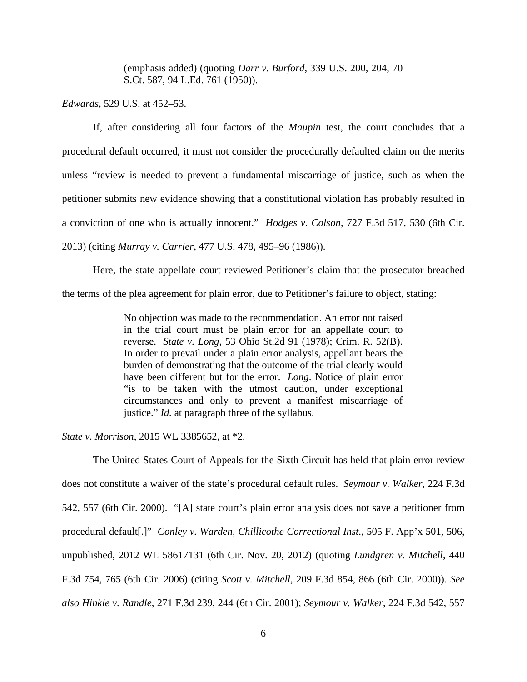(emphasis added) (quoting *Darr v. Burford*, 339 U.S. 200, 204, 70 S.Ct. 587, 94 L.Ed. 761 (1950)).

*Edwards*, 529 U.S. at 452–53.

If, after considering all four factors of the *Maupin* test, the court concludes that a procedural default occurred, it must not consider the procedurally defaulted claim on the merits unless "review is needed to prevent a fundamental miscarriage of justice, such as when the petitioner submits new evidence showing that a constitutional violation has probably resulted in a conviction of one who is actually innocent." *Hodges v. Colson*, 727 F.3d 517, 530 (6th Cir. 2013) (citing *Murray v. Carrier*, 477 U.S. 478, 495–96 (1986)).

 Here, the state appellate court reviewed Petitioner's claim that the prosecutor breached the terms of the plea agreement for plain error, due to Petitioner's failure to object, stating:

> No objection was made to the recommendation. An error not raised in the trial court must be plain error for an appellate court to reverse. *State v. Long*, 53 Ohio St.2d 91 (1978); Crim. R. 52(B). In order to prevail under a plain error analysis, appellant bears the burden of demonstrating that the outcome of the trial clearly would have been different but for the error. *Long*. Notice of plain error "is to be taken with the utmost caution, under exceptional circumstances and only to prevent a manifest miscarriage of justice." *Id.* at paragraph three of the syllabus.

*State v. Morrison*, 2015 WL 3385652, at \*2.

The United States Court of Appeals for the Sixth Circuit has held that plain error review does not constitute a waiver of the state's procedural default rules. *Seymour v. Walker*, 224 F.3d 542, 557 (6th Cir. 2000). "[A] state court's plain error analysis does not save a petitioner from procedural default[.]" *Conley v. Warden, Chillicothe Correctional Inst*., 505 F. App'x 501, 506, unpublished, 2012 WL 58617131 (6th Cir. Nov. 20, 2012) (quoting *Lundgren v. Mitchell*, 440 F.3d 754, 765 (6th Cir. 2006) (citing *Scott v. Mitchell*, 209 F.3d 854, 866 (6th Cir. 2000)). *See also Hinkle v. Randle*, 271 F.3d 239, 244 (6th Cir. 2001); *Seymour v. Walker*, 224 F.3d 542, 557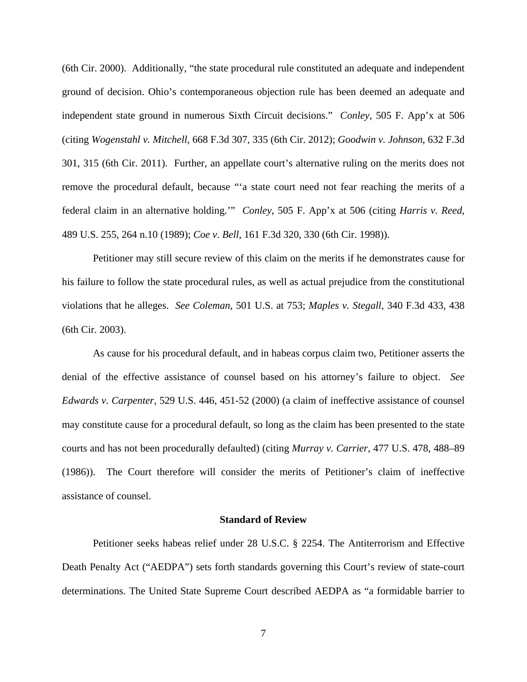(6th Cir. 2000). Additionally, "the state procedural rule constituted an adequate and independent ground of decision. Ohio's contemporaneous objection rule has been deemed an adequate and independent state ground in numerous Sixth Circuit decisions." *Conley*, 505 F. App'x at 506 (citing *Wogenstahl v. Mitchell*, 668 F.3d 307, 335 (6th Cir. 2012); *Goodwin v. Johnson*, 632 F.3d 301, 315 (6th Cir. 2011). Further, an appellate court's alternative ruling on the merits does not remove the procedural default, because "'a state court need not fear reaching the merits of a federal claim in an alternative holding.'" *Conley*, 505 F. App'x at 506 (citing *Harris v. Reed*, 489 U.S. 255, 264 n.10 (1989); *Coe v. Bell*, 161 F.3d 320, 330 (6th Cir. 1998)).

Petitioner may still secure review of this claim on the merits if he demonstrates cause for his failure to follow the state procedural rules, as well as actual prejudice from the constitutional violations that he alleges. *See Coleman*, 501 U.S. at 753; *Maples v. Stegall*, 340 F.3d 433, 438 (6th Cir. 2003).

As cause for his procedural default, and in habeas corpus claim two, Petitioner asserts the denial of the effective assistance of counsel based on his attorney's failure to object. *See Edwards v. Carpenter*, 529 U.S. 446, 451-52 (2000) (a claim of ineffective assistance of counsel may constitute cause for a procedural default, so long as the claim has been presented to the state courts and has not been procedurally defaulted) (citing *Murray v. Carrier*, 477 U.S. 478, 488–89 (1986)). The Court therefore will consider the merits of Petitioner's claim of ineffective assistance of counsel.

#### **Standard of Review**

Petitioner seeks habeas relief under 28 U.S.C. § 2254. The Antiterrorism and Effective Death Penalty Act ("AEDPA") sets forth standards governing this Court's review of state-court determinations. The United State Supreme Court described AEDPA as "a formidable barrier to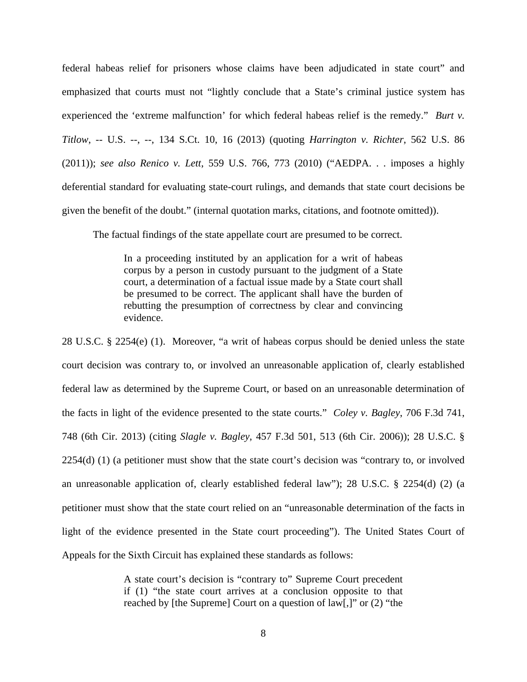federal habeas relief for prisoners whose claims have been adjudicated in state court" and emphasized that courts must not "lightly conclude that a State's criminal justice system has experienced the 'extreme malfunction' for which federal habeas relief is the remedy." *Burt v. Titlow*, -- U.S. --, --, 134 S.Ct. 10, 16 (2013) (quoting *Harrington v. Richter*, 562 U.S. 86 (2011)); *see also Renico v. Lett*, 559 U.S. 766, 773 (2010) ("AEDPA. . . imposes a highly deferential standard for evaluating state-court rulings, and demands that state court decisions be given the benefit of the doubt." (internal quotation marks, citations, and footnote omitted)).

The factual findings of the state appellate court are presumed to be correct.

In a proceeding instituted by an application for a writ of habeas corpus by a person in custody pursuant to the judgment of a State court, a determination of a factual issue made by a State court shall be presumed to be correct. The applicant shall have the burden of rebutting the presumption of correctness by clear and convincing evidence.

28 U.S.C. § 2254(e) (1). Moreover, "a writ of habeas corpus should be denied unless the state court decision was contrary to, or involved an unreasonable application of, clearly established federal law as determined by the Supreme Court, or based on an unreasonable determination of the facts in light of the evidence presented to the state courts." *Coley v. Bagley*, 706 F.3d 741, 748 (6th Cir. 2013) (citing *Slagle v. Bagley*, 457 F.3d 501, 513 (6th Cir. 2006)); 28 U.S.C. § 2254(d) (1) (a petitioner must show that the state court's decision was "contrary to, or involved an unreasonable application of, clearly established federal law"); 28 U.S.C. § 2254(d) (2) (a petitioner must show that the state court relied on an "unreasonable determination of the facts in light of the evidence presented in the State court proceeding"). The United States Court of Appeals for the Sixth Circuit has explained these standards as follows:

> A state court's decision is "contrary to" Supreme Court precedent if (1) "the state court arrives at a conclusion opposite to that reached by [the Supreme] Court on a question of law[,]" or (2) "the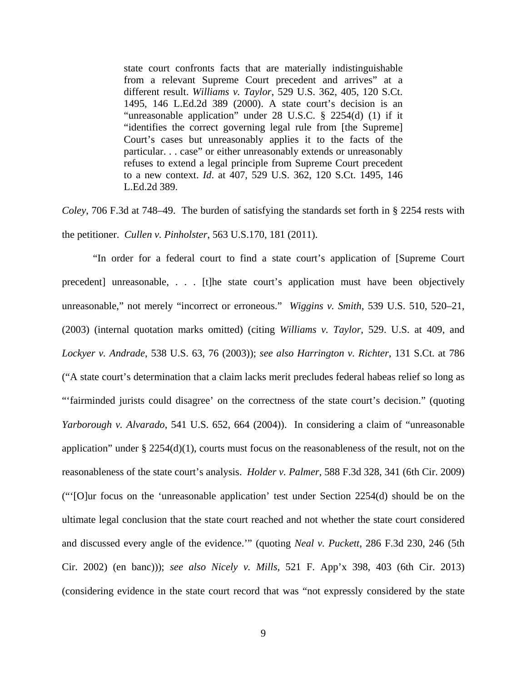state court confronts facts that are materially indistinguishable from a relevant Supreme Court precedent and arrives" at a different result. *Williams v. Taylor*, 529 U.S. 362, 405, 120 S.Ct. 1495, 146 L.Ed.2d 389 (2000). A state court's decision is an "unreasonable application" under 28 U.S.C. § 2254(d) (1) if it "identifies the correct governing legal rule from [the Supreme] Court's cases but unreasonably applies it to the facts of the particular. . . case" or either unreasonably extends or unreasonably refuses to extend a legal principle from Supreme Court precedent to a new context. *Id*. at 407, 529 U.S. 362, 120 S.Ct. 1495, 146 L.Ed.2d 389.

*Coley*, 706 F.3d at 748–49. The burden of satisfying the standards set forth in § 2254 rests with the petitioner. *Cullen v. Pinholster*, 563 U.S.170, 181 (2011).

"In order for a federal court to find a state court's application of [Supreme Court precedent] unreasonable, . . . [t]he state court's application must have been objectively unreasonable," not merely "incorrect or erroneous." *Wiggins v. Smith*, 539 U.S. 510, 520–21, (2003) (internal quotation marks omitted) (citing *Williams v. Taylor*, 529. U.S. at 409, and *Lockyer v. Andrade*, 538 U.S. 63, 76 (2003)); *see also Harrington v. Richter*, 131 S.Ct. at 786 ("A state court's determination that a claim lacks merit precludes federal habeas relief so long as "'fairminded jurists could disagree' on the correctness of the state court's decision." (quoting *Yarborough v. Alvarado*, 541 U.S. 652, 664 (2004)). In considering a claim of "unreasonable application" under  $\S 2254(d)(1)$ , courts must focus on the reasonableness of the result, not on the reasonableness of the state court's analysis. *Holder v. Palmer*, 588 F.3d 328, 341 (6th Cir. 2009) ("'[O]ur focus on the 'unreasonable application' test under Section 2254(d) should be on the ultimate legal conclusion that the state court reached and not whether the state court considered and discussed every angle of the evidence.'" (quoting *Neal v. Puckett*, 286 F.3d 230, 246 (5th Cir. 2002) (en banc))); *see also Nicely v. Mills*, 521 F. App'x 398, 403 (6th Cir. 2013) (considering evidence in the state court record that was "not expressly considered by the state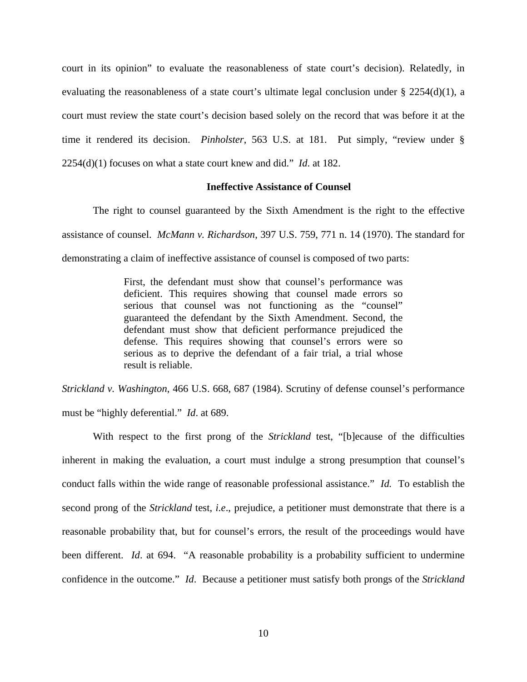court in its opinion" to evaluate the reasonableness of state court's decision). Relatedly, in evaluating the reasonableness of a state court's ultimate legal conclusion under  $\S$  2254(d)(1), a court must review the state court's decision based solely on the record that was before it at the time it rendered its decision. *Pinholster*, 563 U.S. at 181. Put simply, "review under § 2254(d)(1) focuses on what a state court knew and did." *Id*. at 182.

## **Ineffective Assistance of Counsel**

The right to counsel guaranteed by the Sixth Amendment is the right to the effective assistance of counsel. *McMann v. Richardson*, 397 U.S. 759, 771 n. 14 (1970). The standard for demonstrating a claim of ineffective assistance of counsel is composed of two parts:

> First, the defendant must show that counsel's performance was deficient. This requires showing that counsel made errors so serious that counsel was not functioning as the "counsel" guaranteed the defendant by the Sixth Amendment. Second, the defendant must show that deficient performance prejudiced the defense. This requires showing that counsel's errors were so serious as to deprive the defendant of a fair trial, a trial whose result is reliable.

*Strickland v. Washington*, 466 U.S. 668, 687 (1984). Scrutiny of defense counsel's performance must be "highly deferential." *Id*. at 689.

With respect to the first prong of the *Strickland* test, "[b]ecause of the difficulties inherent in making the evaluation, a court must indulge a strong presumption that counsel's conduct falls within the wide range of reasonable professional assistance." *Id.* To establish the second prong of the *Strickland* test, *i.e*., prejudice, a petitioner must demonstrate that there is a reasonable probability that, but for counsel's errors, the result of the proceedings would have been different. *Id.* at 694. "A reasonable probability is a probability sufficient to undermine confidence in the outcome." *Id*. Because a petitioner must satisfy both prongs of the *Strickland*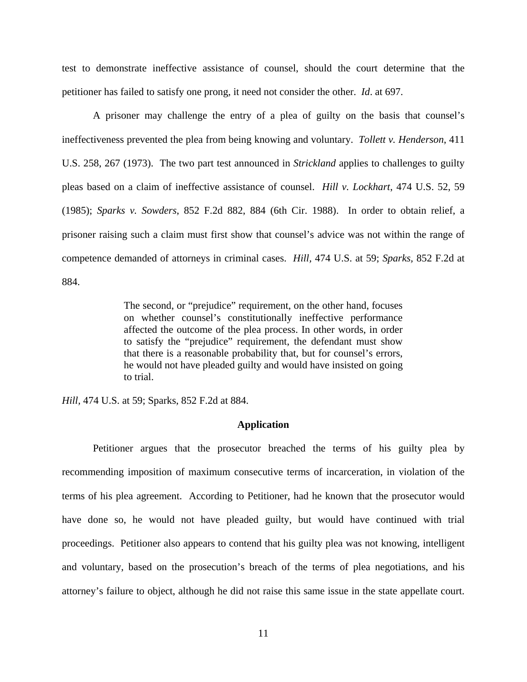test to demonstrate ineffective assistance of counsel, should the court determine that the petitioner has failed to satisfy one prong, it need not consider the other. *Id*. at 697.

A prisoner may challenge the entry of a plea of guilty on the basis that counsel's ineffectiveness prevented the plea from being knowing and voluntary. *Tollett v. Henderson*, 411 U.S. 258, 267 (1973). The two part test announced in *Strickland* applies to challenges to guilty pleas based on a claim of ineffective assistance of counsel. *Hill v. Lockhart*, 474 U.S. 52, 59 (1985); *Sparks v. Sowders*, 852 F.2d 882, 884 (6th Cir. 1988). In order to obtain relief, a prisoner raising such a claim must first show that counsel's advice was not within the range of competence demanded of attorneys in criminal cases. *Hill,* 474 U.S. at 59; *Sparks,* 852 F.2d at 884.

> The second, or "prejudice" requirement, on the other hand, focuses on whether counsel's constitutionally ineffective performance affected the outcome of the plea process. In other words, in order to satisfy the "prejudice" requirement, the defendant must show that there is a reasonable probability that, but for counsel's errors, he would not have pleaded guilty and would have insisted on going to trial.

*Hill,* 474 U.S. at 59; Sparks, 852 F.2d at 884.

#### **Application**

Petitioner argues that the prosecutor breached the terms of his guilty plea by recommending imposition of maximum consecutive terms of incarceration, in violation of the terms of his plea agreement. According to Petitioner, had he known that the prosecutor would have done so, he would not have pleaded guilty, but would have continued with trial proceedings. Petitioner also appears to contend that his guilty plea was not knowing, intelligent and voluntary, based on the prosecution's breach of the terms of plea negotiations, and his attorney's failure to object, although he did not raise this same issue in the state appellate court.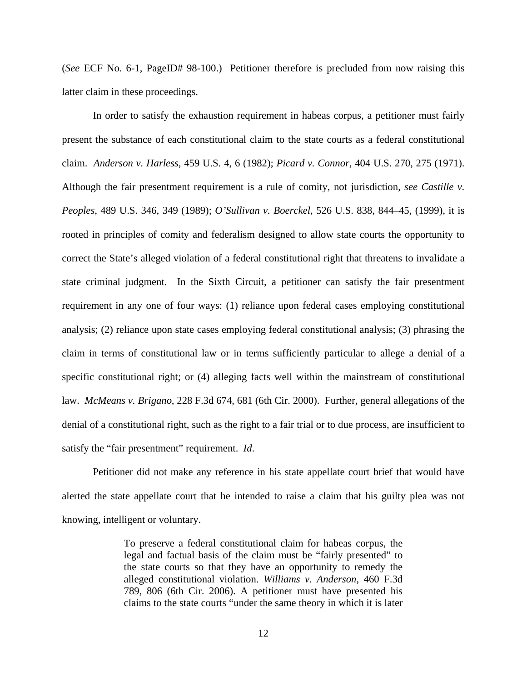(*See* ECF No. 6-1, PageID# 98-100.) Petitioner therefore is precluded from now raising this latter claim in these proceedings.

In order to satisfy the exhaustion requirement in habeas corpus, a petitioner must fairly present the substance of each constitutional claim to the state courts as a federal constitutional claim. *Anderson v. Harless*, 459 U.S. 4, 6 (1982); *Picard v. Connor*, 404 U.S. 270, 275 (1971). Although the fair presentment requirement is a rule of comity, not jurisdiction, *see Castille v. Peoples*, 489 U.S. 346, 349 (1989); *O'Sullivan v. Boerckel*, 526 U.S. 838, 844–45, (1999), it is rooted in principles of comity and federalism designed to allow state courts the opportunity to correct the State's alleged violation of a federal constitutional right that threatens to invalidate a state criminal judgment. In the Sixth Circuit, a petitioner can satisfy the fair presentment requirement in any one of four ways: (1) reliance upon federal cases employing constitutional analysis; (2) reliance upon state cases employing federal constitutional analysis; (3) phrasing the claim in terms of constitutional law or in terms sufficiently particular to allege a denial of a specific constitutional right; or (4) alleging facts well within the mainstream of constitutional law. *McMeans v. Brigano*, 228 F.3d 674, 681 (6th Cir. 2000). Further, general allegations of the denial of a constitutional right, such as the right to a fair trial or to due process, are insufficient to satisfy the "fair presentment" requirement. *Id*.

Petitioner did not make any reference in his state appellate court brief that would have alerted the state appellate court that he intended to raise a claim that his guilty plea was not knowing, intelligent or voluntary.

> To preserve a federal constitutional claim for habeas corpus, the legal and factual basis of the claim must be "fairly presented" to the state courts so that they have an opportunity to remedy the alleged constitutional violation. *Williams v. Anderson*, 460 F.3d 789, 806 (6th Cir. 2006). A petitioner must have presented his claims to the state courts "under the same theory in which it is later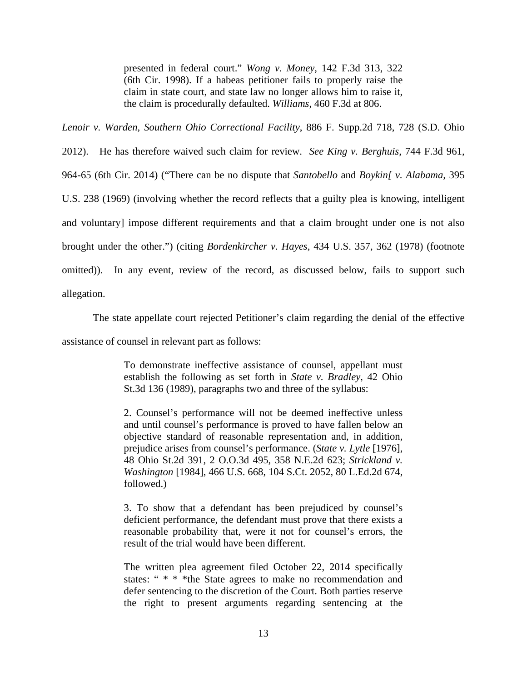presented in federal court." *Wong v. Money*, 142 F.3d 313, 322 (6th Cir. 1998). If a habeas petitioner fails to properly raise the claim in state court, and state law no longer allows him to raise it, the claim is procedurally defaulted. *Williams*, 460 F.3d at 806.

*Lenoir v. Warden, Southern Ohio Correctional Facility*, 886 F. Supp.2d 718, 728 (S.D. Ohio

2012). He has therefore waived such claim for review. *See King v. Berghuis*, 744 F.3d 961, 964-65 (6th Cir. 2014) ("There can be no dispute that *Santobello* and *Boykin[ v. Alabama,* 395

U.S. 238 (1969) (involving whether the record reflects that a guilty plea is knowing, intelligent

and voluntary] impose different requirements and that a claim brought under one is not also

brought under the other.") (citing *Bordenkircher v. Hayes*, 434 U.S. 357, 362 (1978) (footnote

omitted)). In any event, review of the record, as discussed below, fails to support such

allegation.

The state appellate court rejected Petitioner's claim regarding the denial of the effective

assistance of counsel in relevant part as follows:

To demonstrate ineffective assistance of counsel, appellant must establish the following as set forth in *State v. Bradley*, 42 Ohio St.3d 136 (1989), paragraphs two and three of the syllabus:

2. Counsel's performance will not be deemed ineffective unless and until counsel's performance is proved to have fallen below an objective standard of reasonable representation and, in addition, prejudice arises from counsel's performance. (*State v. Lytle* [1976], 48 Ohio St.2d 391, 2 O.O.3d 495, 358 N.E.2d 623; *Strickland v. Washington* [1984], 466 U.S. 668, 104 S.Ct. 2052, 80 L.Ed.2d 674, followed.)

3. To show that a defendant has been prejudiced by counsel's deficient performance, the defendant must prove that there exists a reasonable probability that, were it not for counsel's errors, the result of the trial would have been different.

The written plea agreement filed October 22, 2014 specifically states: " \* \* \* the State agrees to make no recommendation and defer sentencing to the discretion of the Court. Both parties reserve the right to present arguments regarding sentencing at the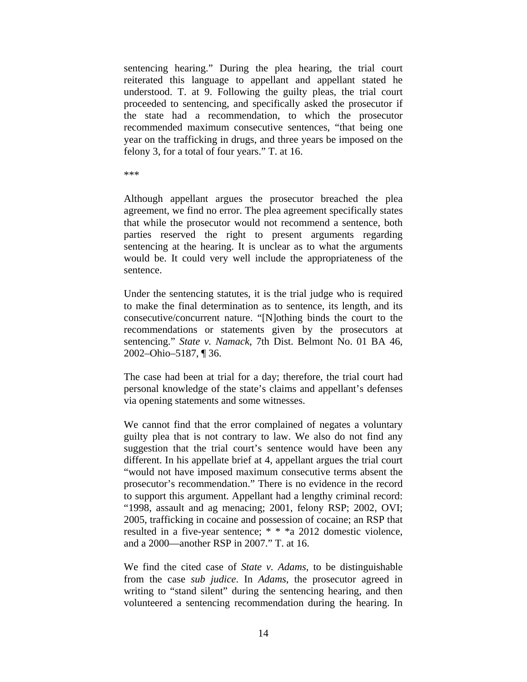sentencing hearing." During the plea hearing, the trial court reiterated this language to appellant and appellant stated he understood. T. at 9. Following the guilty pleas, the trial court proceeded to sentencing, and specifically asked the prosecutor if the state had a recommendation, to which the prosecutor recommended maximum consecutive sentences, "that being one year on the trafficking in drugs, and three years be imposed on the felony 3, for a total of four years." T. at 16.

\*\*\*

Although appellant argues the prosecutor breached the plea agreement, we find no error. The plea agreement specifically states that while the prosecutor would not recommend a sentence, both parties reserved the right to present arguments regarding sentencing at the hearing. It is unclear as to what the arguments would be. It could very well include the appropriateness of the sentence.

Under the sentencing statutes, it is the trial judge who is required to make the final determination as to sentence, its length, and its consecutive/concurrent nature. "[N]othing binds the court to the recommendations or statements given by the prosecutors at sentencing." *State v. Namack*, 7th Dist. Belmont No. 01 BA 46, 2002–Ohio–5187, ¶ 36.

The case had been at trial for a day; therefore, the trial court had personal knowledge of the state's claims and appellant's defenses via opening statements and some witnesses.

We cannot find that the error complained of negates a voluntary guilty plea that is not contrary to law. We also do not find any suggestion that the trial court's sentence would have been any different. In his appellate brief at 4, appellant argues the trial court "would not have imposed maximum consecutive terms absent the prosecutor's recommendation." There is no evidence in the record to support this argument. Appellant had a lengthy criminal record: "1998, assault and ag menacing; 2001, felony RSP; 2002, OVI; 2005, trafficking in cocaine and possession of cocaine; an RSP that resulted in a five-year sentence; \* \* \*a 2012 domestic violence, and a 2000—another RSP in 2007." T. at 16.

We find the cited case of *State v. Adams*, to be distinguishable from the case *sub judice*. In *Adams*, the prosecutor agreed in writing to "stand silent" during the sentencing hearing, and then volunteered a sentencing recommendation during the hearing. In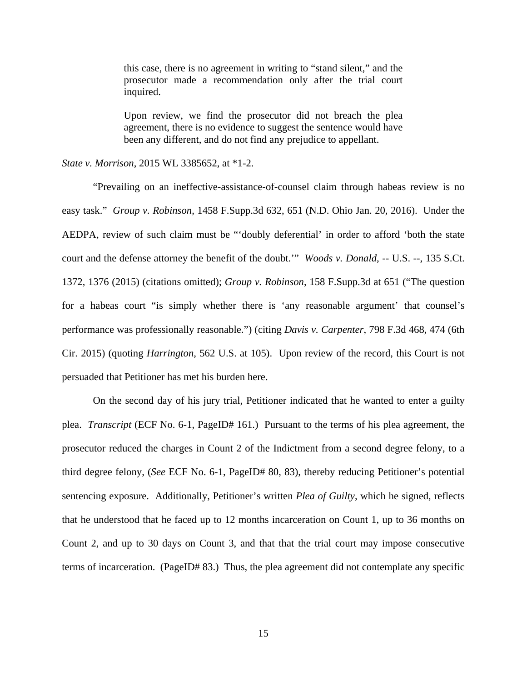this case, there is no agreement in writing to "stand silent," and the prosecutor made a recommendation only after the trial court inquired.

Upon review, we find the prosecutor did not breach the plea agreement, there is no evidence to suggest the sentence would have been any different, and do not find any prejudice to appellant.

*State v. Morrison*, 2015 WL 3385652, at \*1-2.

 "Prevailing on an ineffective-assistance-of-counsel claim through habeas review is no easy task." *Group v. Robinson*, 1458 F.Supp.3d 632, 651 (N.D. Ohio Jan. 20, 2016). Under the AEDPA, review of such claim must be "'doubly deferential' in order to afford 'both the state court and the defense attorney the benefit of the doubt.'" *Woods v. Donald*, -- U.S. --, 135 S.Ct. 1372, 1376 (2015) (citations omitted); *Group v. Robinson*, 158 F.Supp.3d at 651 ("The question for a habeas court "is simply whether there is 'any reasonable argument' that counsel's performance was professionally reasonable.") (citing *Davis v. Carpenter*, 798 F.3d 468, 474 (6th Cir. 2015) (quoting *Harrington*, 562 U.S. at 105). Upon review of the record, this Court is not persuaded that Petitioner has met his burden here.

 On the second day of his jury trial, Petitioner indicated that he wanted to enter a guilty plea. *Transcript* (ECF No. 6-1, PageID# 161.) Pursuant to the terms of his plea agreement, the prosecutor reduced the charges in Count 2 of the Indictment from a second degree felony, to a third degree felony, (*See* ECF No. 6-1, PageID# 80, 83), thereby reducing Petitioner's potential sentencing exposure. Additionally, Petitioner's written *Plea of Guilty*, which he signed, reflects that he understood that he faced up to 12 months incarceration on Count 1, up to 36 months on Count 2, and up to 30 days on Count 3, and that that the trial court may impose consecutive terms of incarceration. (PageID# 83.) Thus, the plea agreement did not contemplate any specific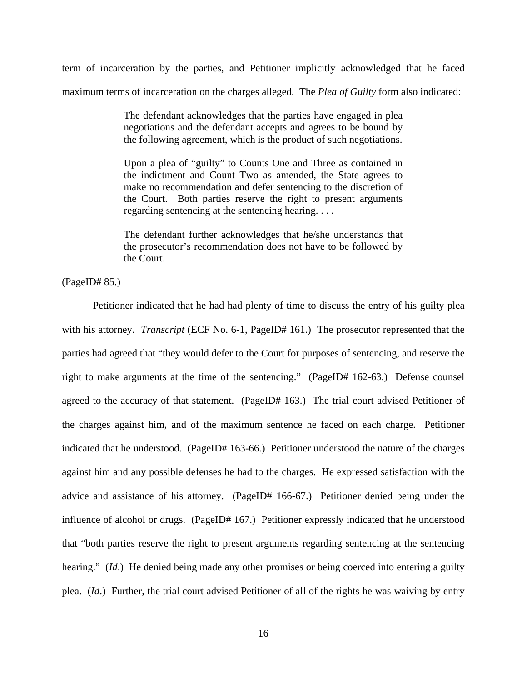term of incarceration by the parties, and Petitioner implicitly acknowledged that he faced maximum terms of incarceration on the charges alleged. The *Plea of Guilty* form also indicated:

> The defendant acknowledges that the parties have engaged in plea negotiations and the defendant accepts and agrees to be bound by the following agreement, which is the product of such negotiations.

> Upon a plea of "guilty" to Counts One and Three as contained in the indictment and Count Two as amended, the State agrees to make no recommendation and defer sentencing to the discretion of the Court. Both parties reserve the right to present arguments regarding sentencing at the sentencing hearing. . . .

> The defendant further acknowledges that he/she understands that the prosecutor's recommendation does not have to be followed by the Court.

(PageID# 85.)

Petitioner indicated that he had had plenty of time to discuss the entry of his guilty plea with his attorney. *Transcript* (ECF No. 6-1, PageID# 161.) The prosecutor represented that the parties had agreed that "they would defer to the Court for purposes of sentencing, and reserve the right to make arguments at the time of the sentencing." (PageID# 162-63.) Defense counsel agreed to the accuracy of that statement. (PageID# 163.) The trial court advised Petitioner of the charges against him, and of the maximum sentence he faced on each charge. Petitioner indicated that he understood. (PageID# 163-66.) Petitioner understood the nature of the charges against him and any possible defenses he had to the charges. He expressed satisfaction with the advice and assistance of his attorney. (PageID# 166-67.) Petitioner denied being under the influence of alcohol or drugs. (PageID# 167.) Petitioner expressly indicated that he understood that "both parties reserve the right to present arguments regarding sentencing at the sentencing hearing." *(Id.)* He denied being made any other promises or being coerced into entering a guilty plea. (*Id*.) Further, the trial court advised Petitioner of all of the rights he was waiving by entry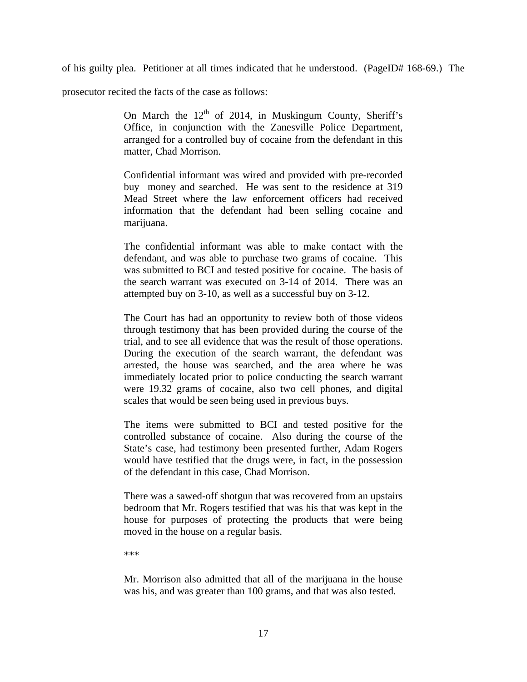of his guilty plea. Petitioner at all times indicated that he understood. (PageID# 168-69.) The

prosecutor recited the facts of the case as follows:

On March the  $12<sup>th</sup>$  of 2014, in Muskingum County, Sheriff's Office, in conjunction with the Zanesville Police Department, arranged for a controlled buy of cocaine from the defendant in this matter, Chad Morrison.

Confidential informant was wired and provided with pre-recorded buy money and searched. He was sent to the residence at 319 Mead Street where the law enforcement officers had received information that the defendant had been selling cocaine and marijuana.

The confidential informant was able to make contact with the defendant, and was able to purchase two grams of cocaine. This was submitted to BCI and tested positive for cocaine. The basis of the search warrant was executed on 3-14 of 2014. There was an attempted buy on 3-10, as well as a successful buy on 3-12.

The Court has had an opportunity to review both of those videos through testimony that has been provided during the course of the trial, and to see all evidence that was the result of those operations. During the execution of the search warrant, the defendant was arrested, the house was searched, and the area where he was immediately located prior to police conducting the search warrant were 19.32 grams of cocaine, also two cell phones, and digital scales that would be seen being used in previous buys.

The items were submitted to BCI and tested positive for the controlled substance of cocaine. Also during the course of the State's case, had testimony been presented further, Adam Rogers would have testified that the drugs were, in fact, in the possession of the defendant in this case, Chad Morrison.

There was a sawed-off shotgun that was recovered from an upstairs bedroom that Mr. Rogers testified that was his that was kept in the house for purposes of protecting the products that were being moved in the house on a regular basis.

\*\*\*

Mr. Morrison also admitted that all of the marijuana in the house was his, and was greater than 100 grams, and that was also tested.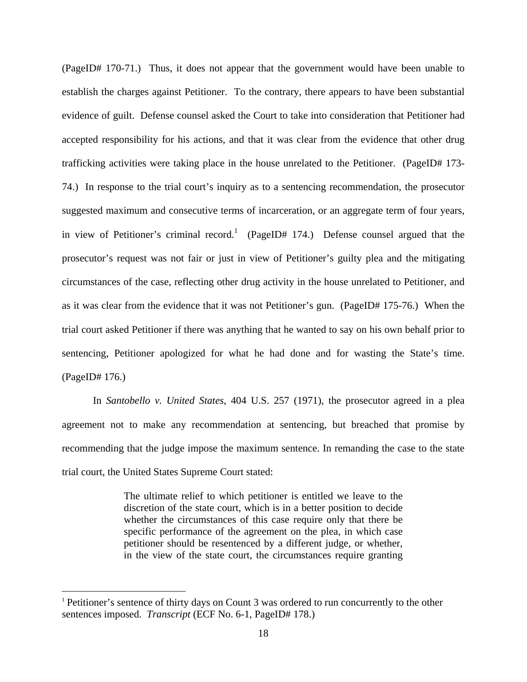(PageID# 170-71.) Thus, it does not appear that the government would have been unable to establish the charges against Petitioner. To the contrary, there appears to have been substantial evidence of guilt. Defense counsel asked the Court to take into consideration that Petitioner had accepted responsibility for his actions, and that it was clear from the evidence that other drug trafficking activities were taking place in the house unrelated to the Petitioner. (PageID# 173- 74.) In response to the trial court's inquiry as to a sentencing recommendation, the prosecutor suggested maximum and consecutive terms of incarceration, or an aggregate term of four years, in view of Petitioner's criminal record.<sup>1</sup> (PageID# 174.) Defense counsel argued that the prosecutor's request was not fair or just in view of Petitioner's guilty plea and the mitigating circumstances of the case, reflecting other drug activity in the house unrelated to Petitioner, and as it was clear from the evidence that it was not Petitioner's gun. (PageID# 175-76.) When the trial court asked Petitioner if there was anything that he wanted to say on his own behalf prior to sentencing, Petitioner apologized for what he had done and for wasting the State's time. (PageID# 176.)

In *Santobello v. United States*, 404 U.S. 257 (1971), the prosecutor agreed in a plea agreement not to make any recommendation at sentencing, but breached that promise by recommending that the judge impose the maximum sentence. In remanding the case to the state trial court, the United States Supreme Court stated:

> The ultimate relief to which petitioner is entitled we leave to the discretion of the state court, which is in a better position to decide whether the circumstances of this case require only that there be specific performance of the agreement on the plea, in which case petitioner should be resentenced by a different judge, or whether, in the view of the state court, the circumstances require granting

 $\overline{a}$ 

<sup>&</sup>lt;sup>1</sup> Petitioner's sentence of thirty days on Count 3 was ordered to run concurrently to the other sentences imposed. *Transcript* (ECF No. 6-1, PageID# 178.)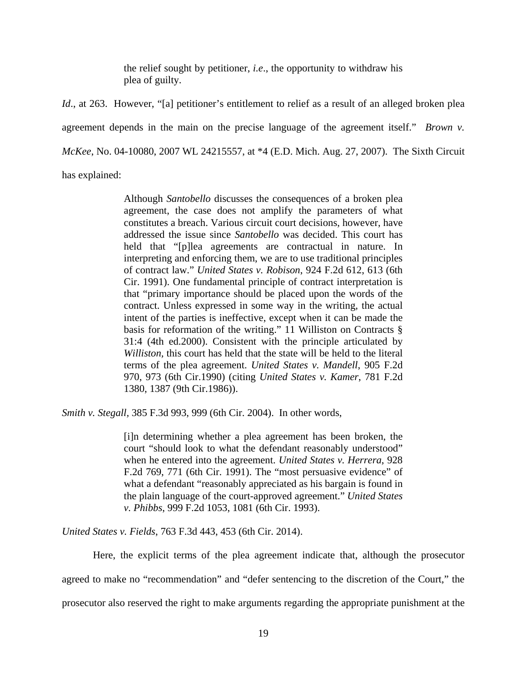the relief sought by petitioner, *i.e*., the opportunity to withdraw his plea of guilty.

*Id.*, at 263. However, "[a] petitioner's entitlement to relief as a result of an alleged broken plea agreement depends in the main on the precise language of the agreement itself." *Brown v. McKee*, No. 04-10080, 2007 WL 24215557, at \*4 (E.D. Mich. Aug. 27, 2007). The Sixth Circuit has explained:

Although *Santobello* discusses the consequences of a broken plea agreement, the case does not amplify the parameters of what constitutes a breach. Various circuit court decisions, however, have addressed the issue since *Santobello* was decided. This court has held that "[p]lea agreements are contractual in nature. In interpreting and enforcing them, we are to use traditional principles of contract law." *United States v. Robison*, 924 F.2d 612, 613 (6th Cir. 1991). One fundamental principle of contract interpretation is that "primary importance should be placed upon the words of the contract. Unless expressed in some way in the writing, the actual intent of the parties is ineffective, except when it can be made the basis for reformation of the writing." 11 Williston on Contracts § 31:4 (4th ed.2000). Consistent with the principle articulated by *Williston,* this court has held that the state will be held to the literal terms of the plea agreement. *United States v. Mandell*, 905 F.2d 970, 973 (6th Cir.1990) (citing *United States v. Kamer*, 781 F.2d 1380, 1387 (9th Cir.1986)).

*Smith v. Stegall,* 385 F.3d 993, 999 (6th Cir. 2004). In other words,

[i]n determining whether a plea agreement has been broken, the court "should look to what the defendant reasonably understood" when he entered into the agreement. *United States v. Herrera*, 928 F.2d 769, 771 (6th Cir. 1991). The "most persuasive evidence" of what a defendant "reasonably appreciated as his bargain is found in the plain language of the court-approved agreement." *United States v. Phibbs*, 999 F.2d 1053, 1081 (6th Cir. 1993).

*United States v. Fields*, 763 F.3d 443, 453 (6th Cir. 2014).

Here, the explicit terms of the plea agreement indicate that, although the prosecutor agreed to make no "recommendation" and "defer sentencing to the discretion of the Court," the

prosecutor also reserved the right to make arguments regarding the appropriate punishment at the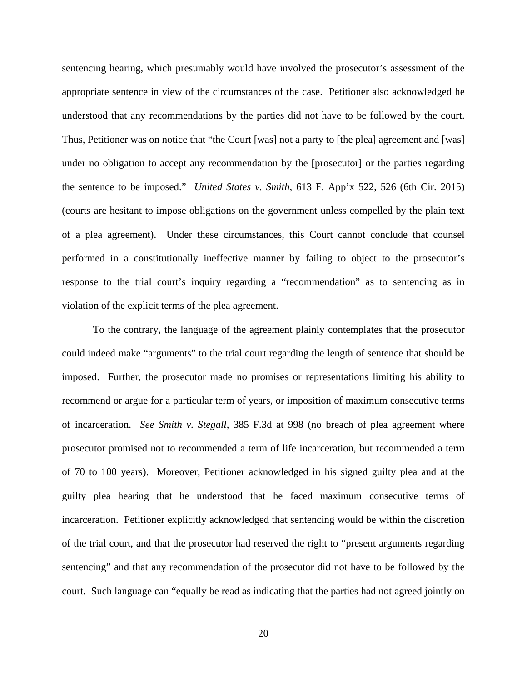sentencing hearing, which presumably would have involved the prosecutor's assessment of the appropriate sentence in view of the circumstances of the case. Petitioner also acknowledged he understood that any recommendations by the parties did not have to be followed by the court. Thus, Petitioner was on notice that "the Court [was] not a party to [the plea] agreement and [was] under no obligation to accept any recommendation by the [prosecutor] or the parties regarding the sentence to be imposed." *United States v. Smith*, 613 F. App'x 522, 526 (6th Cir. 2015) (courts are hesitant to impose obligations on the government unless compelled by the plain text of a plea agreement). Under these circumstances, this Court cannot conclude that counsel performed in a constitutionally ineffective manner by failing to object to the prosecutor's response to the trial court's inquiry regarding a "recommendation" as to sentencing as in violation of the explicit terms of the plea agreement.

To the contrary, the language of the agreement plainly contemplates that the prosecutor could indeed make "arguments" to the trial court regarding the length of sentence that should be imposed. Further, the prosecutor made no promises or representations limiting his ability to recommend or argue for a particular term of years, or imposition of maximum consecutive terms of incarceration. *See Smith v. Stegall*, 385 F.3d at 998 (no breach of plea agreement where prosecutor promised not to recommended a term of life incarceration, but recommended a term of 70 to 100 years). Moreover, Petitioner acknowledged in his signed guilty plea and at the guilty plea hearing that he understood that he faced maximum consecutive terms of incarceration. Petitioner explicitly acknowledged that sentencing would be within the discretion of the trial court, and that the prosecutor had reserved the right to "present arguments regarding sentencing" and that any recommendation of the prosecutor did not have to be followed by the court. Such language can "equally be read as indicating that the parties had not agreed jointly on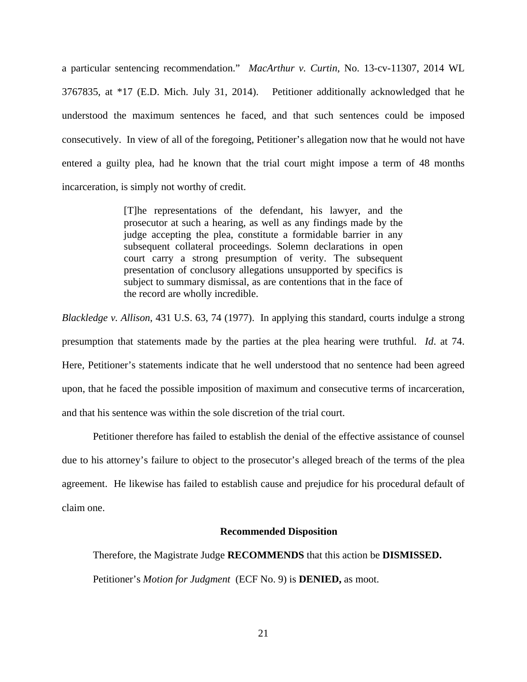a particular sentencing recommendation." *MacArthur v. Curtin*, No. 13-cv-11307, 2014 WL 3767835, at \*17 (E.D. Mich. July 31, 2014). Petitioner additionally acknowledged that he understood the maximum sentences he faced, and that such sentences could be imposed consecutively. In view of all of the foregoing, Petitioner's allegation now that he would not have entered a guilty plea, had he known that the trial court might impose a term of 48 months incarceration, is simply not worthy of credit.

> [T]he representations of the defendant, his lawyer, and the prosecutor at such a hearing, as well as any findings made by the judge accepting the plea, constitute a formidable barrier in any subsequent collateral proceedings. Solemn declarations in open court carry a strong presumption of verity. The subsequent presentation of conclusory allegations unsupported by specifics is subject to summary dismissal, as are contentions that in the face of the record are wholly incredible.

*Blackledge v. Allison*, 431 U.S. 63, 74 (1977). In applying this standard, courts indulge a strong presumption that statements made by the parties at the plea hearing were truthful. *Id*. at 74. Here, Petitioner's statements indicate that he well understood that no sentence had been agreed upon, that he faced the possible imposition of maximum and consecutive terms of incarceration, and that his sentence was within the sole discretion of the trial court.

Petitioner therefore has failed to establish the denial of the effective assistance of counsel due to his attorney's failure to object to the prosecutor's alleged breach of the terms of the plea agreement. He likewise has failed to establish cause and prejudice for his procedural default of claim one.

## **Recommended Disposition**

Therefore, the Magistrate Judge **RECOMMENDS** that this action be **DISMISSED.**

Petitioner's *Motion for Judgment* (ECF No. 9) is **DENIED,** as moot.